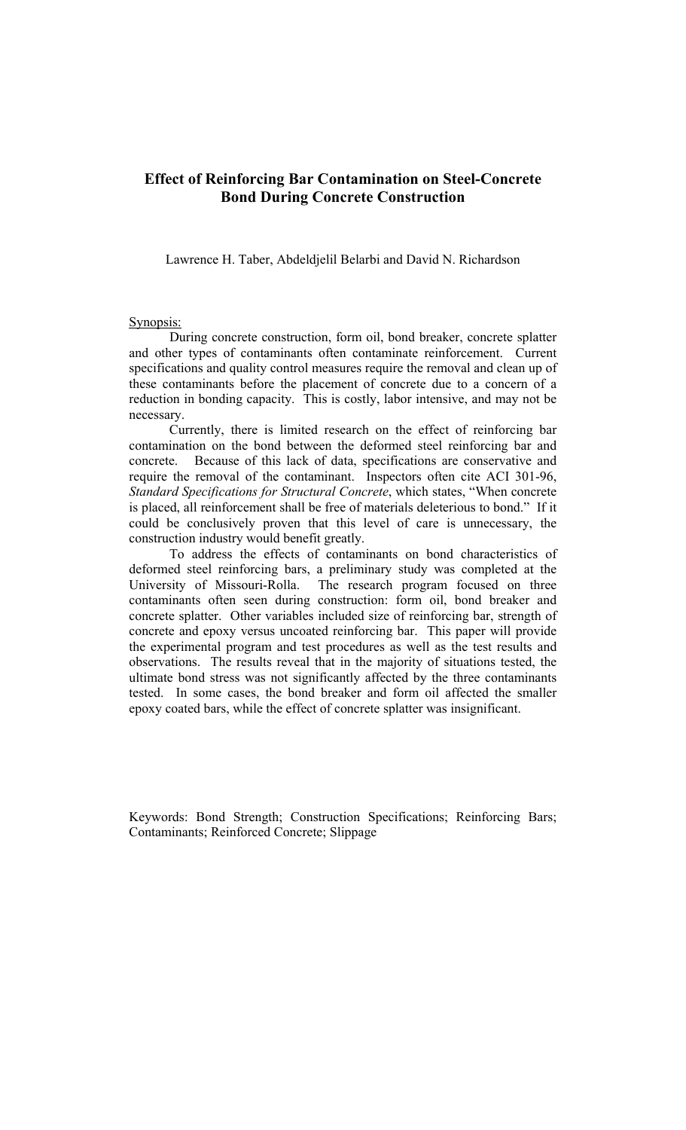# **Effect of Reinforcing Bar Contamination on Steel-Concrete Bond During Concrete Construction**

Lawrence H. Taber, Abdeldjelil Belarbi and David N. Richardson

# Synopsis:

 During concrete construction, form oil, bond breaker, concrete splatter and other types of contaminants often contaminate reinforcement. Current specifications and quality control measures require the removal and clean up of these contaminants before the placement of concrete due to a concern of a reduction in bonding capacity. This is costly, labor intensive, and may not be necessary.

 Currently, there is limited research on the effect of reinforcing bar contamination on the bond between the deformed steel reinforcing bar and concrete. Because of this lack of data, specifications are conservative and require the removal of the contaminant. Inspectors often cite ACI 301-96, *Standard Specifications for Structural Concrete*, which states, "When concrete is placed, all reinforcement shall be free of materials deleterious to bond." If it could be conclusively proven that this level of care is unnecessary, the construction industry would benefit greatly.

 To address the effects of contaminants on bond characteristics of deformed steel reinforcing bars, a preliminary study was completed at the University of Missouri-Rolla. The research program focused on three contaminants often seen during construction: form oil, bond breaker and concrete splatter. Other variables included size of reinforcing bar, strength of concrete and epoxy versus uncoated reinforcing bar. This paper will provide the experimental program and test procedures as well as the test results and observations. The results reveal that in the majority of situations tested, the ultimate bond stress was not significantly affected by the three contaminants tested. In some cases, the bond breaker and form oil affected the smaller epoxy coated bars, while the effect of concrete splatter was insignificant.

Keywords: Bond Strength; Construction Specifications; Reinforcing Bars; Contaminants; Reinforced Concrete; Slippage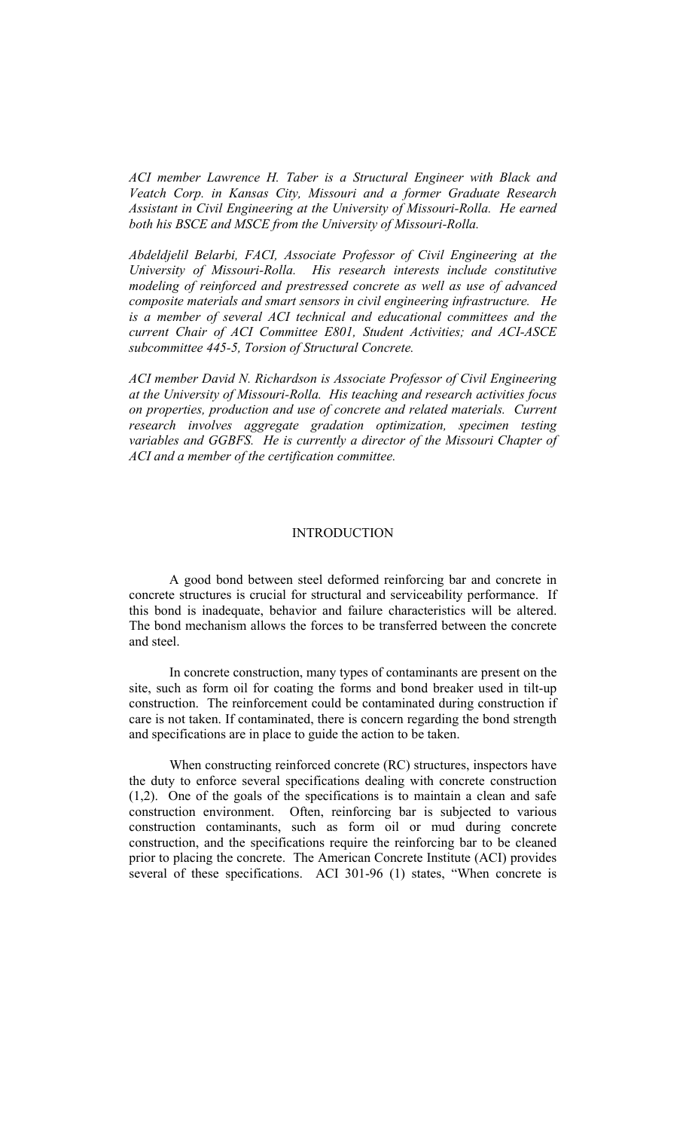*ACI member Lawrence H. Taber is a Structural Engineer with Black and Veatch Corp. in Kansas City, Missouri and a former Graduate Research Assistant in Civil Engineering at the University of Missouri-Rolla. He earned both his BSCE and MSCE from the University of Missouri-Rolla.* 

*Abdeldjelil Belarbi, FACI, Associate Professor of Civil Engineering at the University of Missouri-Rolla. His research interests include constitutive modeling of reinforced and prestressed concrete as well as use of advanced composite materials and smart sensors in civil engineering infrastructure. He is a member of several ACI technical and educational committees and the current Chair of ACI Committee E801, Student Activities; and ACI-ASCE subcommittee 445-5, Torsion of Structural Concrete.* 

*ACI member David N. Richardson is Associate Professor of Civil Engineering at the University of Missouri-Rolla. His teaching and research activities focus on properties, production and use of concrete and related materials. Current research involves aggregate gradation optimization, specimen testing variables and GGBFS. He is currently a director of the Missouri Chapter of ACI and a member of the certification committee.*

# **INTRODUCTION**

A good bond between steel deformed reinforcing bar and concrete in concrete structures is crucial for structural and serviceability performance. If this bond is inadequate, behavior and failure characteristics will be altered. The bond mechanism allows the forces to be transferred between the concrete and steel.

In concrete construction, many types of contaminants are present on the site, such as form oil for coating the forms and bond breaker used in tilt-up construction. The reinforcement could be contaminated during construction if care is not taken. If contaminated, there is concern regarding the bond strength and specifications are in place to guide the action to be taken.

When constructing reinforced concrete (RC) structures, inspectors have the duty to enforce several specifications dealing with concrete construction (1,2). One of the goals of the specifications is to maintain a clean and safe construction environment. Often, reinforcing bar is subjected to various construction contaminants, such as form oil or mud during concrete construction, and the specifications require the reinforcing bar to be cleaned prior to placing the concrete. The American Concrete Institute (ACI) provides several of these specifications. ACI 301-96 (1) states, "When concrete is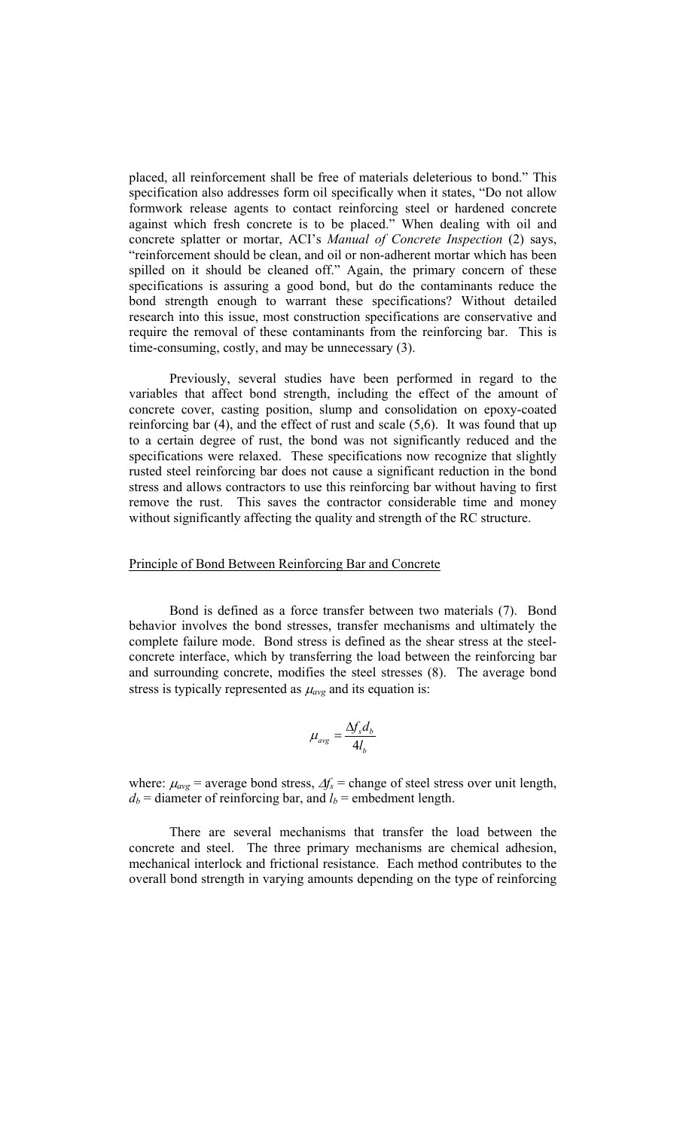placed, all reinforcement shall be free of materials deleterious to bond." This specification also addresses form oil specifically when it states, "Do not allow formwork release agents to contact reinforcing steel or hardened concrete against which fresh concrete is to be placed." When dealing with oil and concrete splatter or mortar, ACI's *Manual of Concrete Inspection* (2) says, "reinforcement should be clean, and oil or non-adherent mortar which has been spilled on it should be cleaned off." Again, the primary concern of these specifications is assuring a good bond, but do the contaminants reduce the bond strength enough to warrant these specifications? Without detailed research into this issue, most construction specifications are conservative and require the removal of these contaminants from the reinforcing bar. This is time-consuming, costly, and may be unnecessary (3).

Previously, several studies have been performed in regard to the variables that affect bond strength, including the effect of the amount of concrete cover, casting position, slump and consolidation on epoxy-coated reinforcing bar  $(4)$ , and the effect of rust and scale  $(5,6)$ . It was found that up to a certain degree of rust, the bond was not significantly reduced and the specifications were relaxed. These specifications now recognize that slightly rusted steel reinforcing bar does not cause a significant reduction in the bond stress and allows contractors to use this reinforcing bar without having to first remove the rust. This saves the contractor considerable time and money without significantly affecting the quality and strength of the RC structure.

#### Principle of Bond Between Reinforcing Bar and Concrete

Bond is defined as a force transfer between two materials (7). Bond behavior involves the bond stresses, transfer mechanisms and ultimately the complete failure mode. Bond stress is defined as the shear stress at the steelconcrete interface, which by transferring the load between the reinforcing bar and surrounding concrete, modifies the steel stresses (8). The average bond stress is typically represented as  $\mu_{avg}$  and its equation is:

$$
\mu_{avg} = \frac{\Delta f_s d_b}{4l_b}
$$

where:  $\mu_{avg}$  = average bond stress,  $\Delta f_s$  = change of steel stress over unit length,  $d_b$  = diameter of reinforcing bar, and  $l_b$  = embedment length.

There are several mechanisms that transfer the load between the concrete and steel. The three primary mechanisms are chemical adhesion, mechanical interlock and frictional resistance. Each method contributes to the overall bond strength in varying amounts depending on the type of reinforcing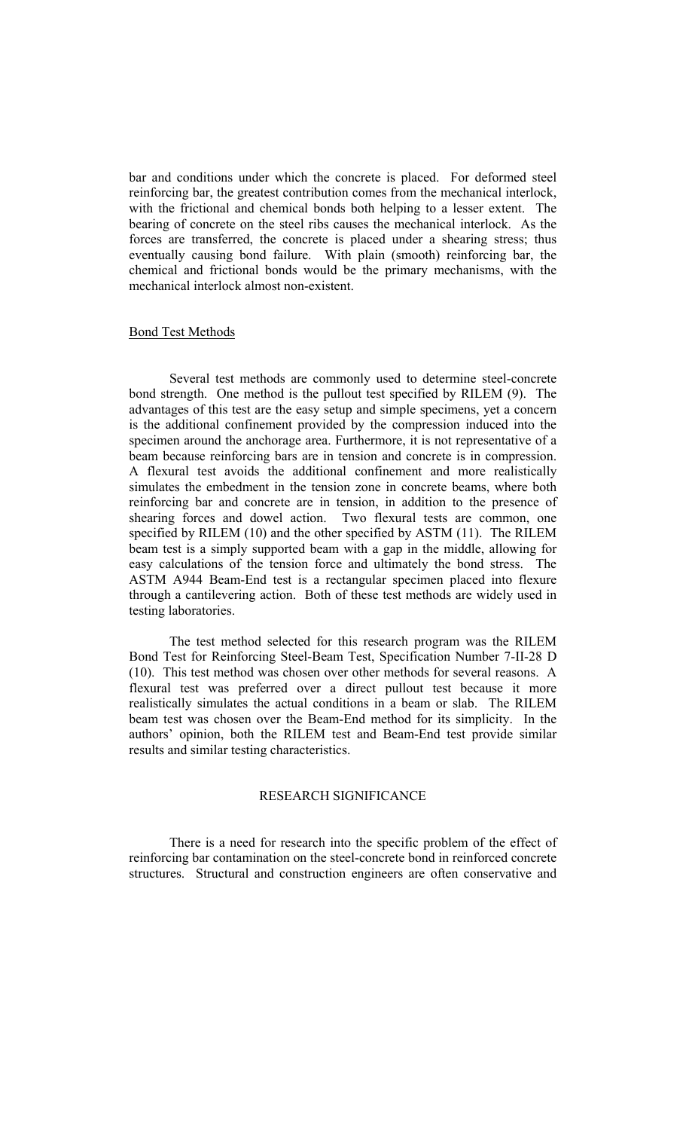bar and conditions under which the concrete is placed. For deformed steel reinforcing bar, the greatest contribution comes from the mechanical interlock, with the frictional and chemical bonds both helping to a lesser extent. The bearing of concrete on the steel ribs causes the mechanical interlock. As the forces are transferred, the concrete is placed under a shearing stress; thus eventually causing bond failure. With plain (smooth) reinforcing bar, the chemical and frictional bonds would be the primary mechanisms, with the mechanical interlock almost non-existent.

# Bond Test Methods

Several test methods are commonly used to determine steel-concrete bond strength. One method is the pullout test specified by RILEM (9). The advantages of this test are the easy setup and simple specimens, yet a concern is the additional confinement provided by the compression induced into the specimen around the anchorage area. Furthermore, it is not representative of a beam because reinforcing bars are in tension and concrete is in compression. A flexural test avoids the additional confinement and more realistically simulates the embedment in the tension zone in concrete beams, where both reinforcing bar and concrete are in tension, in addition to the presence of shearing forces and dowel action. Two flexural tests are common, one specified by RILEM (10) and the other specified by ASTM (11). The RILEM beam test is a simply supported beam with a gap in the middle, allowing for easy calculations of the tension force and ultimately the bond stress. The ASTM A944 Beam-End test is a rectangular specimen placed into flexure through a cantilevering action. Both of these test methods are widely used in testing laboratories.

The test method selected for this research program was the RILEM Bond Test for Reinforcing Steel-Beam Test, Specification Number 7-II-28 D (10). This test method was chosen over other methods for several reasons. A flexural test was preferred over a direct pullout test because it more realistically simulates the actual conditions in a beam or slab. The RILEM beam test was chosen over the Beam-End method for its simplicity. In the authors' opinion, both the RILEM test and Beam-End test provide similar results and similar testing characteristics.

# RESEARCH SIGNIFICANCE

There is a need for research into the specific problem of the effect of reinforcing bar contamination on the steel-concrete bond in reinforced concrete structures. Structural and construction engineers are often conservative and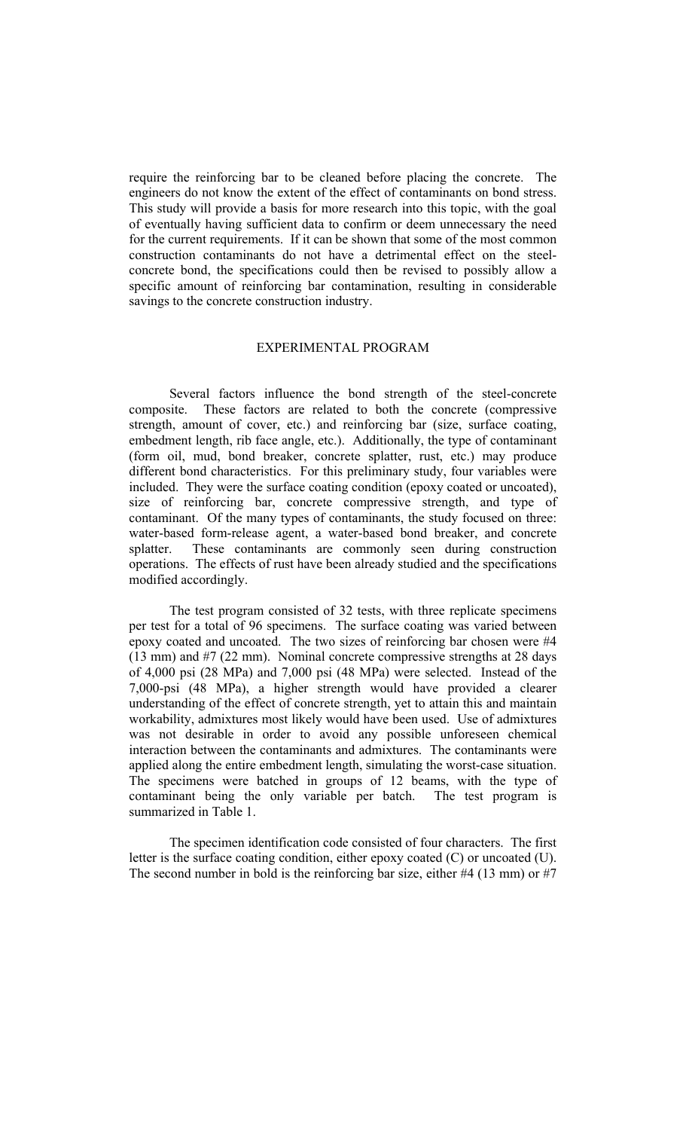require the reinforcing bar to be cleaned before placing the concrete. The engineers do not know the extent of the effect of contaminants on bond stress. This study will provide a basis for more research into this topic, with the goal of eventually having sufficient data to confirm or deem unnecessary the need for the current requirements. If it can be shown that some of the most common construction contaminants do not have a detrimental effect on the steelconcrete bond, the specifications could then be revised to possibly allow a specific amount of reinforcing bar contamination, resulting in considerable savings to the concrete construction industry.

# EXPERIMENTAL PROGRAM

Several factors influence the bond strength of the steel-concrete composite. These factors are related to both the concrete (compressive strength, amount of cover, etc.) and reinforcing bar (size, surface coating, embedment length, rib face angle, etc.). Additionally, the type of contaminant (form oil, mud, bond breaker, concrete splatter, rust, etc.) may produce different bond characteristics. For this preliminary study, four variables were included. They were the surface coating condition (epoxy coated or uncoated), size of reinforcing bar, concrete compressive strength, and type of contaminant. Of the many types of contaminants, the study focused on three: water-based form-release agent, a water-based bond breaker, and concrete splatter. These contaminants are commonly seen during construction operations. The effects of rust have been already studied and the specifications modified accordingly.

The test program consisted of 32 tests, with three replicate specimens per test for a total of 96 specimens. The surface coating was varied between epoxy coated and uncoated. The two sizes of reinforcing bar chosen were #4 (13 mm) and #7 (22 mm). Nominal concrete compressive strengths at 28 days of 4,000 psi (28 MPa) and 7,000 psi (48 MPa) were selected. Instead of the 7,000-psi (48 MPa), a higher strength would have provided a clearer understanding of the effect of concrete strength, yet to attain this and maintain workability, admixtures most likely would have been used. Use of admixtures was not desirable in order to avoid any possible unforeseen chemical interaction between the contaminants and admixtures. The contaminants were applied along the entire embedment length, simulating the worst-case situation. The specimens were batched in groups of 12 beams, with the type of contaminant being the only variable per batch. The test program is summarized in Table 1.

The specimen identification code consisted of four characters. The first letter is the surface coating condition, either epoxy coated (C) or uncoated (U). The second number in bold is the reinforcing bar size, either #4 (13 mm) or #7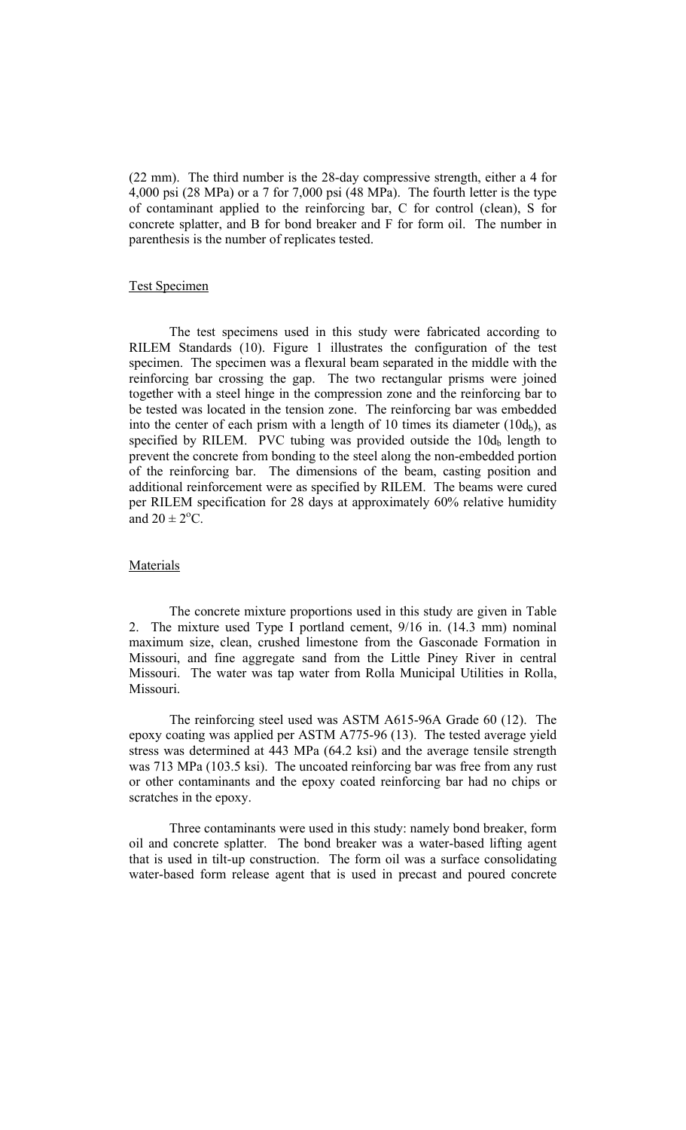(22 mm). The third number is the 28-day compressive strength, either a 4 for 4,000 psi (28 MPa) or a 7 for 7,000 psi (48 MPa). The fourth letter is the type of contaminant applied to the reinforcing bar, C for control (clean), S for concrete splatter, and B for bond breaker and F for form oil. The number in parenthesis is the number of replicates tested.

#### Test Specimen

The test specimens used in this study were fabricated according to RILEM Standards (10). Figure 1 illustrates the configuration of the test specimen. The specimen was a flexural beam separated in the middle with the reinforcing bar crossing the gap. The two rectangular prisms were joined together with a steel hinge in the compression zone and the reinforcing bar to be tested was located in the tension zone. The reinforcing bar was embedded into the center of each prism with a length of 10 times its diameter  $(10d_b)$ , as specified by RILEM. PVC tubing was provided outside the  $10d_b$  length to prevent the concrete from bonding to the steel along the non-embedded portion of the reinforcing bar. The dimensions of the beam, casting position and additional reinforcement were as specified by RILEM. The beams were cured per RILEM specification for 28 days at approximately 60% relative humidity and  $20 \pm 2$ <sup>o</sup>C.

# Materials

The concrete mixture proportions used in this study are given in Table 2. The mixture used Type I portland cement, 9/16 in. (14.3 mm) nominal maximum size, clean, crushed limestone from the Gasconade Formation in Missouri, and fine aggregate sand from the Little Piney River in central Missouri. The water was tap water from Rolla Municipal Utilities in Rolla, Missouri.

 The reinforcing steel used was ASTM A615-96A Grade 60 (12). The epoxy coating was applied per ASTM A775-96 (13). The tested average yield stress was determined at 443 MPa (64.2 ksi) and the average tensile strength was 713 MPa (103.5 ksi). The uncoated reinforcing bar was free from any rust or other contaminants and the epoxy coated reinforcing bar had no chips or scratches in the epoxy.

Three contaminants were used in this study: namely bond breaker, form oil and concrete splatter. The bond breaker was a water-based lifting agent that is used in tilt-up construction. The form oil was a surface consolidating water-based form release agent that is used in precast and poured concrete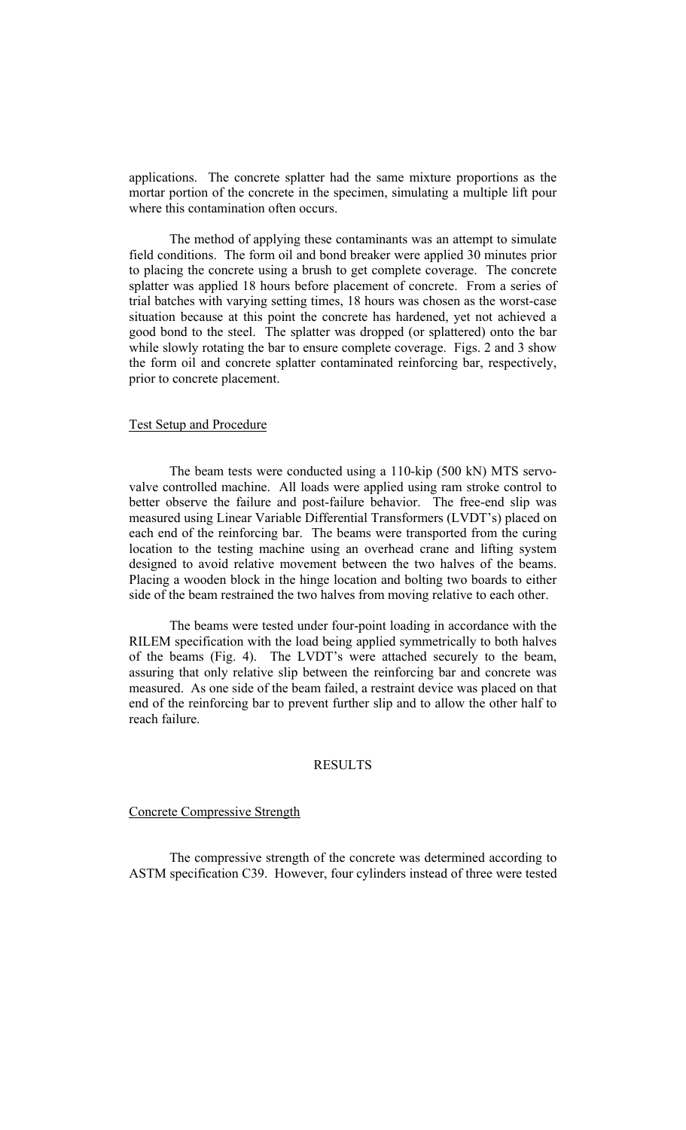applications. The concrete splatter had the same mixture proportions as the mortar portion of the concrete in the specimen, simulating a multiple lift pour where this contamination often occurs.

The method of applying these contaminants was an attempt to simulate field conditions. The form oil and bond breaker were applied 30 minutes prior to placing the concrete using a brush to get complete coverage. The concrete splatter was applied 18 hours before placement of concrete. From a series of trial batches with varying setting times, 18 hours was chosen as the worst-case situation because at this point the concrete has hardened, yet not achieved a good bond to the steel. The splatter was dropped (or splattered) onto the bar while slowly rotating the bar to ensure complete coverage. Figs. 2 and 3 show the form oil and concrete splatter contaminated reinforcing bar, respectively, prior to concrete placement.

# Test Setup and Procedure

The beam tests were conducted using a 110-kip (500 kN) MTS servovalve controlled machine. All loads were applied using ram stroke control to better observe the failure and post-failure behavior. The free-end slip was measured using Linear Variable Differential Transformers (LVDT's) placed on each end of the reinforcing bar. The beams were transported from the curing location to the testing machine using an overhead crane and lifting system designed to avoid relative movement between the two halves of the beams. Placing a wooden block in the hinge location and bolting two boards to either side of the beam restrained the two halves from moving relative to each other.

The beams were tested under four-point loading in accordance with the RILEM specification with the load being applied symmetrically to both halves of the beams (Fig. 4). The LVDT's were attached securely to the beam, assuring that only relative slip between the reinforcing bar and concrete was measured. As one side of the beam failed, a restraint device was placed on that end of the reinforcing bar to prevent further slip and to allow the other half to reach failure.

# RESULTS

# Concrete Compressive Strength

The compressive strength of the concrete was determined according to ASTM specification C39. However, four cylinders instead of three were tested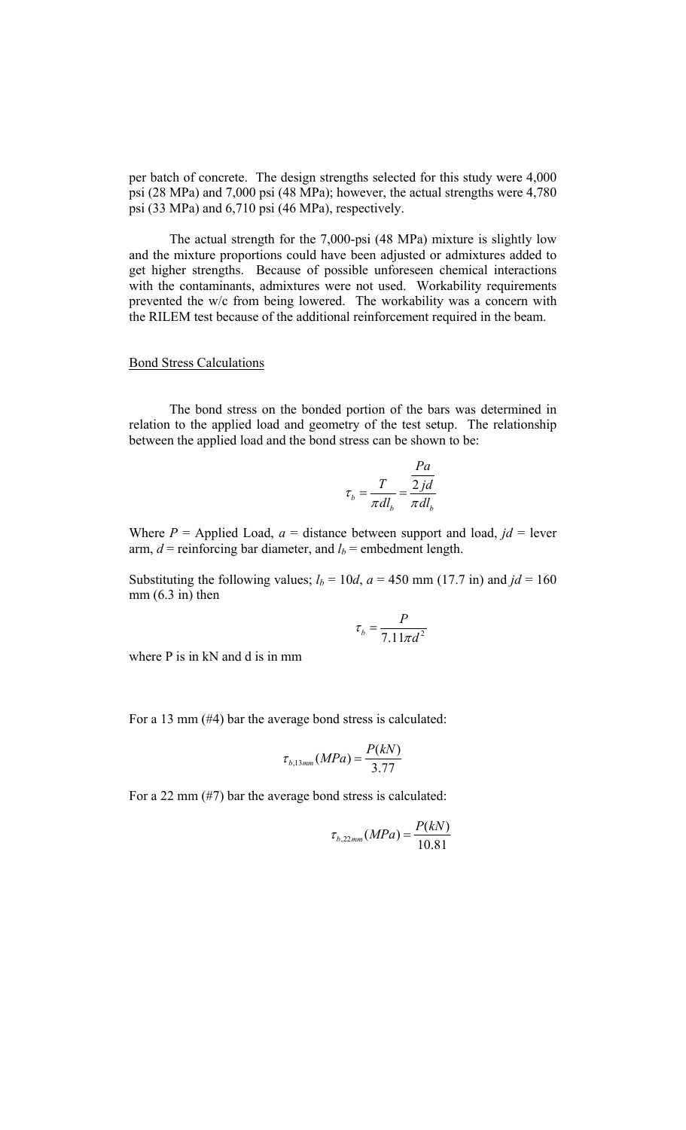per batch of concrete. The design strengths selected for this study were 4,000 psi (28 MPa) and 7,000 psi (48 MPa); however, the actual strengths were 4,780 psi (33 MPa) and 6,710 psi (46 MPa), respectively.

The actual strength for the 7,000-psi (48 MPa) mixture is slightly low and the mixture proportions could have been adjusted or admixtures added to get higher strengths. Because of possible unforeseen chemical interactions with the contaminants, admixtures were not used. Workability requirements prevented the w/c from being lowered. The workability was a concern with the RILEM test because of the additional reinforcement required in the beam.

# Bond Stress Calculations

The bond stress on the bonded portion of the bars was determined in relation to the applied load and geometry of the test setup. The relationship between the applied load and the bond stress can be shown to be:

$$
\tau_b = \frac{T}{\pi d l_b} = \frac{\frac{Pa}{2jd}}{\pi d l_b}
$$

Where  $P =$  Applied Load,  $a =$  distance between support and load,  $jd =$  lever arm,  $d$  = reinforcing bar diameter, and  $l_b$  = embedment length.

Substituting the following values;  $l_b = 10d$ ,  $a = 450$  mm (17.7 in) and  $jd = 160$  $mm (6.3 in) then$ 

$$
\tau_b = \frac{P}{7.11\pi d^2}
$$

where P is in kN and d is in mm

For a 13 mm (#4) bar the average bond stress is calculated:

$$
\tau_{b,13mm}(MPa) = \frac{P(kN)}{3.77}
$$

For a 22 mm (#7) bar the average bond stress is calculated:

$$
\tau_{b,22mm}(MPa) = \frac{P(kN)}{10.81}
$$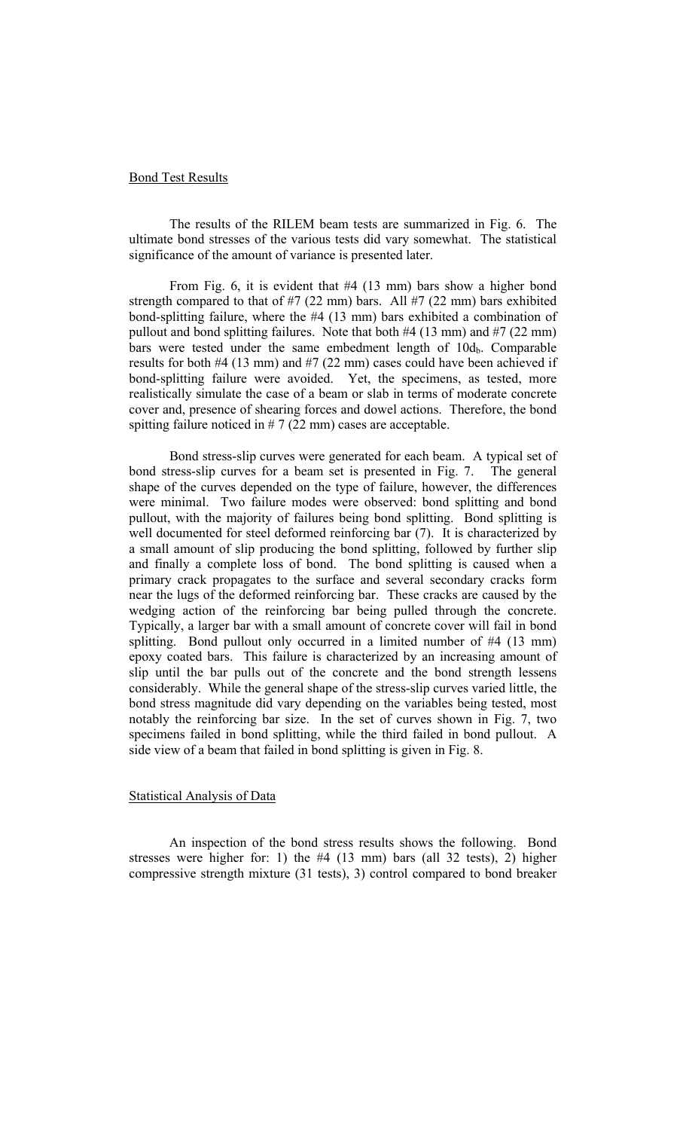### Bond Test Results

The results of the RILEM beam tests are summarized in Fig. 6. The ultimate bond stresses of the various tests did vary somewhat. The statistical significance of the amount of variance is presented later.

From Fig. 6, it is evident that #4 (13 mm) bars show a higher bond strength compared to that of  $#7$  (22 mm) bars. All  $#7$  (22 mm) bars exhibited bond-splitting failure, where the #4 (13 mm) bars exhibited a combination of pullout and bond splitting failures. Note that both #4 (13 mm) and #7 (22 mm) bars were tested under the same embedment length of  $10d_b$ . Comparable results for both #4 (13 mm) and #7 (22 mm) cases could have been achieved if bond-splitting failure were avoided. Yet, the specimens, as tested, more realistically simulate the case of a beam or slab in terms of moderate concrete cover and, presence of shearing forces and dowel actions. Therefore, the bond spitting failure noticed in  $# 7 (22 mm)$  cases are acceptable.

Bond stress-slip curves were generated for each beam. A typical set of bond stress-slip curves for a beam set is presented in Fig. 7. The general shape of the curves depended on the type of failure, however, the differences were minimal. Two failure modes were observed: bond splitting and bond pullout, with the majority of failures being bond splitting. Bond splitting is well documented for steel deformed reinforcing bar (7). It is characterized by a small amount of slip producing the bond splitting, followed by further slip and finally a complete loss of bond. The bond splitting is caused when a primary crack propagates to the surface and several secondary cracks form near the lugs of the deformed reinforcing bar. These cracks are caused by the wedging action of the reinforcing bar being pulled through the concrete. Typically, a larger bar with a small amount of concrete cover will fail in bond splitting. Bond pullout only occurred in a limited number of #4 (13 mm) epoxy coated bars. This failure is characterized by an increasing amount of slip until the bar pulls out of the concrete and the bond strength lessens considerably. While the general shape of the stress-slip curves varied little, the bond stress magnitude did vary depending on the variables being tested, most notably the reinforcing bar size. In the set of curves shown in Fig. 7, two specimens failed in bond splitting, while the third failed in bond pullout. A side view of a beam that failed in bond splitting is given in Fig. 8.

# Statistical Analysis of Data

 An inspection of the bond stress results shows the following. Bond stresses were higher for: 1) the #4 (13 mm) bars (all 32 tests), 2) higher compressive strength mixture (31 tests), 3) control compared to bond breaker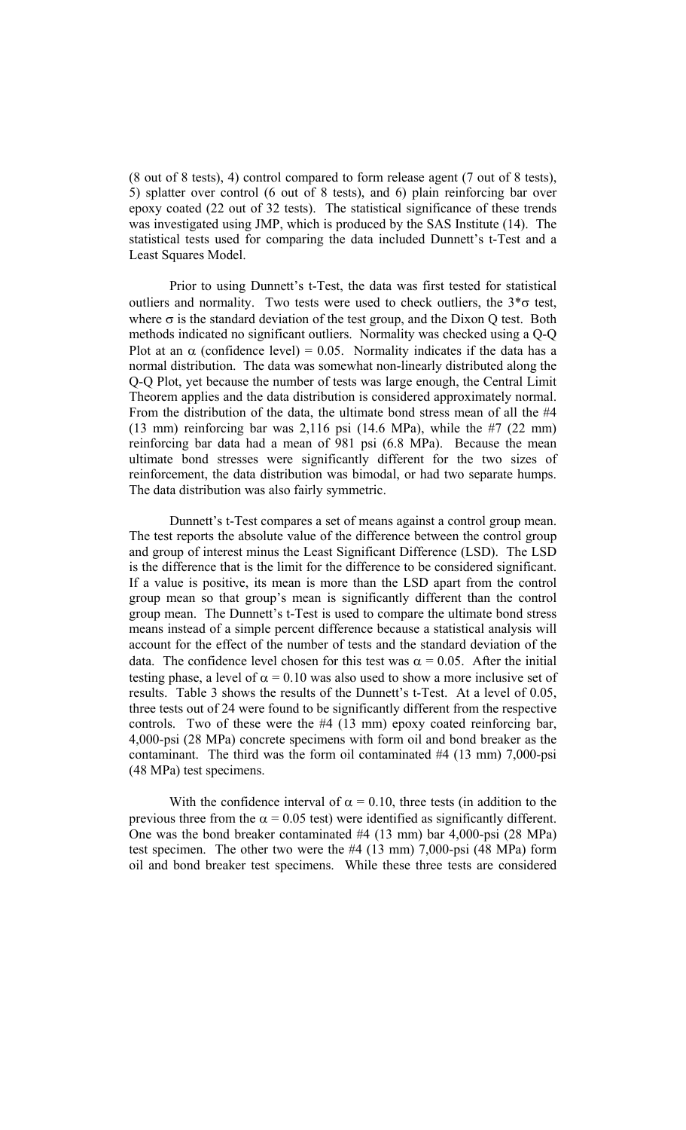(8 out of 8 tests), 4) control compared to form release agent (7 out of 8 tests), 5) splatter over control (6 out of 8 tests), and 6) plain reinforcing bar over epoxy coated (22 out of 32 tests). The statistical significance of these trends was investigated using JMP, which is produced by the SAS Institute (14). The statistical tests used for comparing the data included Dunnett's t-Test and a Least Squares Model.

Prior to using Dunnett's t-Test, the data was first tested for statistical outliers and normality. Two tests were used to check outliers, the  $3*\sigma$  test, where  $\sigma$  is the standard deviation of the test group, and the Dixon Q test. Both methods indicated no significant outliers. Normality was checked using a Q-Q Plot at an  $\alpha$  (confidence level) = 0.05. Normality indicates if the data has a normal distribution. The data was somewhat non-linearly distributed along the Q-Q Plot, yet because the number of tests was large enough, the Central Limit Theorem applies and the data distribution is considered approximately normal. From the distribution of the data, the ultimate bond stress mean of all the #4 (13 mm) reinforcing bar was 2,116 psi (14.6 MPa), while the #7 (22 mm) reinforcing bar data had a mean of 981 psi (6.8 MPa). Because the mean ultimate bond stresses were significantly different for the two sizes of reinforcement, the data distribution was bimodal, or had two separate humps. The data distribution was also fairly symmetric.

Dunnett's t-Test compares a set of means against a control group mean. The test reports the absolute value of the difference between the control group and group of interest minus the Least Significant Difference (LSD). The LSD is the difference that is the limit for the difference to be considered significant. If a value is positive, its mean is more than the LSD apart from the control group mean so that group's mean is significantly different than the control group mean. The Dunnett's t-Test is used to compare the ultimate bond stress means instead of a simple percent difference because a statistical analysis will account for the effect of the number of tests and the standard deviation of the data. The confidence level chosen for this test was  $\alpha = 0.05$ . After the initial testing phase, a level of  $\alpha = 0.10$  was also used to show a more inclusive set of results. Table 3 shows the results of the Dunnett's t-Test. At a level of 0.05, three tests out of 24 were found to be significantly different from the respective controls. Two of these were the #4 (13 mm) epoxy coated reinforcing bar, 4,000-psi (28 MPa) concrete specimens with form oil and bond breaker as the contaminant. The third was the form oil contaminated #4 (13 mm) 7,000-psi (48 MPa) test specimens.

With the confidence interval of  $\alpha = 0.10$ , three tests (in addition to the previous three from the  $\alpha$  = 0.05 test) were identified as significantly different. One was the bond breaker contaminated #4 (13 mm) bar 4,000-psi (28 MPa) test specimen. The other two were the #4 (13 mm) 7,000-psi (48 MPa) form oil and bond breaker test specimens. While these three tests are considered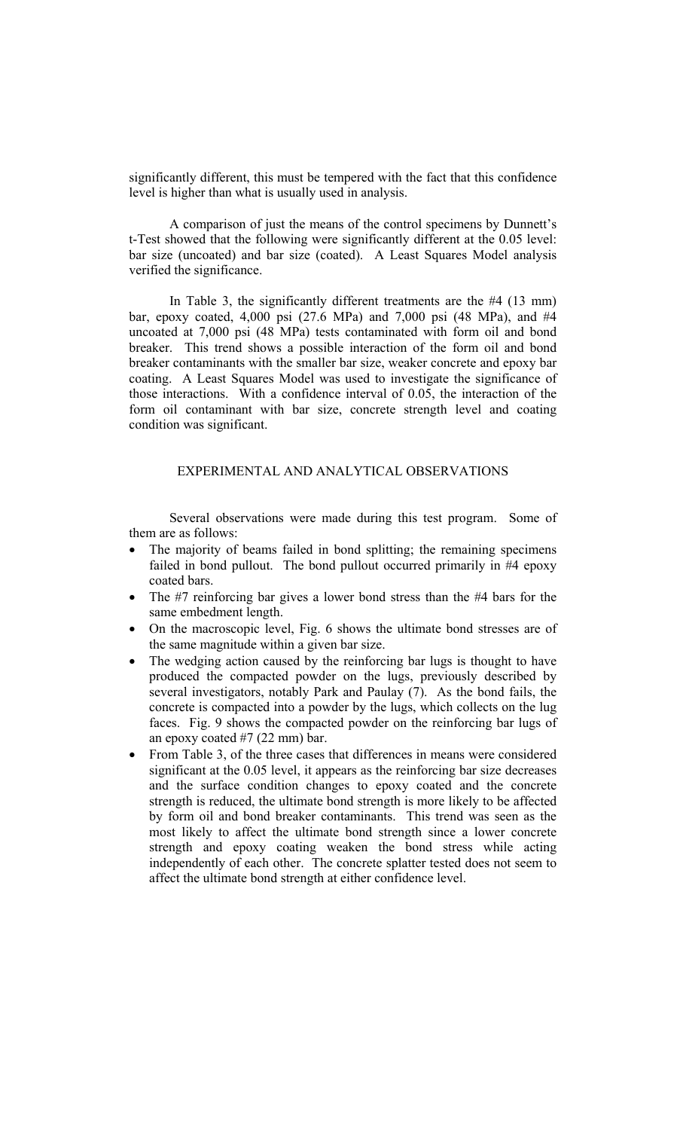significantly different, this must be tempered with the fact that this confidence level is higher than what is usually used in analysis.

A comparison of just the means of the control specimens by Dunnett's t-Test showed that the following were significantly different at the 0.05 level: bar size (uncoated) and bar size (coated). A Least Squares Model analysis verified the significance.

In Table 3, the significantly different treatments are the #4 (13 mm) bar, epoxy coated, 4,000 psi (27.6 MPa) and 7,000 psi (48 MPa), and #4 uncoated at 7,000 psi (48 MPa) tests contaminated with form oil and bond breaker. This trend shows a possible interaction of the form oil and bond breaker contaminants with the smaller bar size, weaker concrete and epoxy bar coating. A Least Squares Model was used to investigate the significance of those interactions. With a confidence interval of 0.05, the interaction of the form oil contaminant with bar size, concrete strength level and coating condition was significant.

# EXPERIMENTAL AND ANALYTICAL OBSERVATIONS

Several observations were made during this test program. Some of them are as follows:

- The majority of beams failed in bond splitting; the remaining specimens failed in bond pullout. The bond pullout occurred primarily in #4 epoxy coated bars.
- The #7 reinforcing bar gives a lower bond stress than the #4 bars for the same embedment length.
- On the macroscopic level, Fig. 6 shows the ultimate bond stresses are of the same magnitude within a given bar size.
- The wedging action caused by the reinforcing bar lugs is thought to have produced the compacted powder on the lugs, previously described by several investigators, notably Park and Paulay (7). As the bond fails, the concrete is compacted into a powder by the lugs, which collects on the lug faces. Fig. 9 shows the compacted powder on the reinforcing bar lugs of an epoxy coated #7 (22 mm) bar.
- From Table 3, of the three cases that differences in means were considered significant at the 0.05 level, it appears as the reinforcing bar size decreases and the surface condition changes to epoxy coated and the concrete strength is reduced, the ultimate bond strength is more likely to be affected by form oil and bond breaker contaminants. This trend was seen as the most likely to affect the ultimate bond strength since a lower concrete strength and epoxy coating weaken the bond stress while acting independently of each other. The concrete splatter tested does not seem to affect the ultimate bond strength at either confidence level.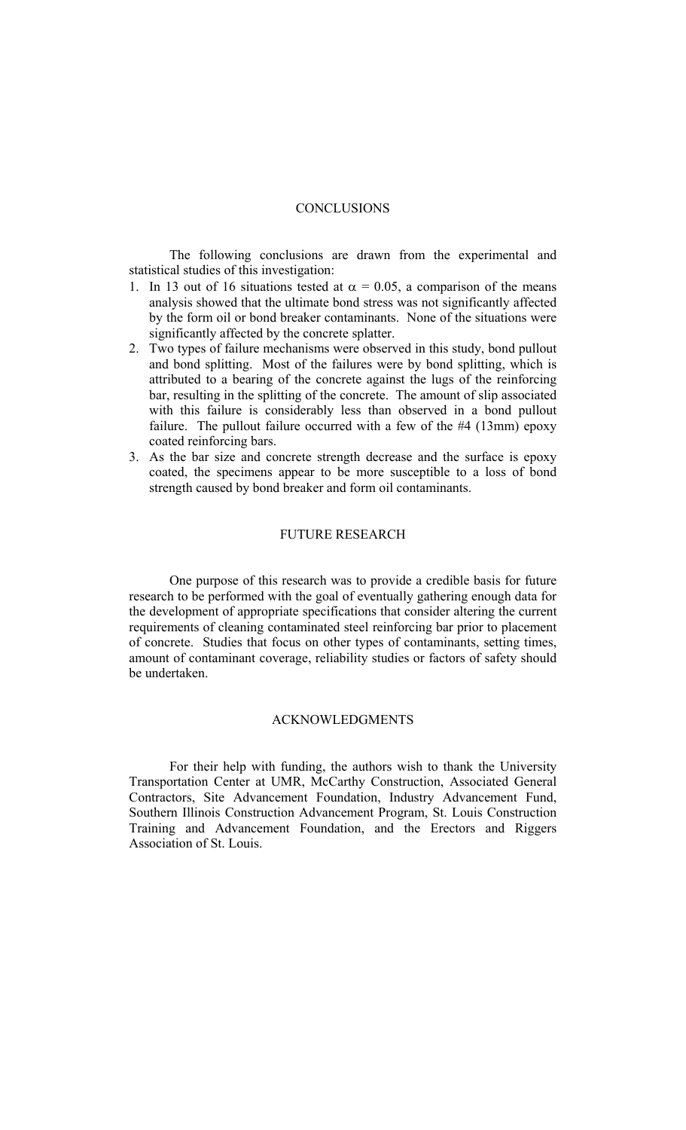# **CONCLUSIONS**

The following conclusions are drawn from the experimental and statistical studies of this investigation:

- 1. In 13 out of 16 situations tested at  $\alpha = 0.05$ , a comparison of the means analysis showed that the ultimate bond stress was not significantly affected by the form oil or bond breaker contaminants. None of the situations were significantly affected by the concrete splatter.
- 2. Two types of failure mechanisms were observed in this study, bond pullout and bond splitting. Most of the failures were by bond splitting, which is attributed to a bearing of the concrete against the lugs of the reinforcing bar, resulting in the splitting of the concrete. The amount of slip associated with this failure is considerably less than observed in a bond pullout failure. The pullout failure occurred with a few of the #4 (13mm) epoxy coated reinforcing bars.
- 3. As the bar size and concrete strength decrease and the surface is epoxy coated, the specimens appear to be more susceptible to a loss of bond strength caused by bond breaker and form oil contaminants.

# FUTURE RESEARCH

One purpose of this research was to provide a credible basis for future research to be performed with the goal of eventually gathering enough data for the development of appropriate specifications that consider altering the current requirements of cleaning contaminated steel reinforcing bar prior to placement of concrete. Studies that focus on other types of contaminants, setting times, amount of contaminant coverage, reliability studies or factors of safety should be undertaken.

#### ACKNOWLEDGMENTS

For their help with funding, the authors wish to thank the University Transportation Center at UMR, McCarthy Construction, Associated General Contractors, Site Advancement Foundation, Industry Advancement Fund, Southern Illinois Construction Advancement Program, St. Louis Construction Training and Advancement Foundation, and the Erectors and Riggers Association of St. Louis.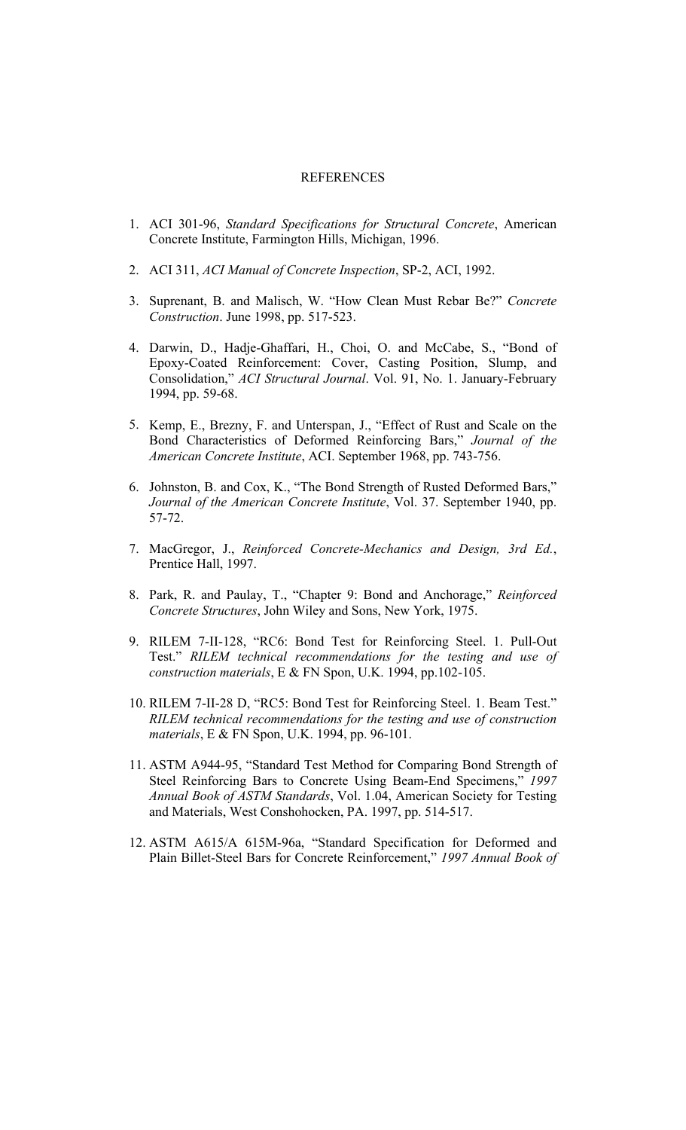# **REFERENCES**

- 1. ACI 301-96, *Standard Specifications for Structural Concrete*, American Concrete Institute, Farmington Hills, Michigan, 1996.
- 2. ACI 311, *ACI Manual of Concrete Inspection*, SP-2, ACI, 1992.
- 3. Suprenant, B. and Malisch, W. "How Clean Must Rebar Be?" *Concrete Construction*. June 1998, pp. 517-523.
- 4. Darwin, D., Hadje-Ghaffari, H., Choi, O. and McCabe, S., "Bond of Epoxy-Coated Reinforcement: Cover, Casting Position, Slump, and Consolidation," *ACI Structural Journal*. Vol. 91, No. 1. January-February 1994, pp. 59-68.
- 5. Kemp, E., Brezny, F. and Unterspan, J., "Effect of Rust and Scale on the Bond Characteristics of Deformed Reinforcing Bars," *Journal of the American Concrete Institute*, ACI. September 1968, pp. 743-756.
- 6. Johnston, B. and Cox, K., "The Bond Strength of Rusted Deformed Bars," *Journal of the American Concrete Institute*, Vol. 37. September 1940, pp. 57-72.
- 7. MacGregor, J., *Reinforced Concrete-Mechanics and Design, 3rd Ed.*, Prentice Hall, 1997.
- 8. Park, R. and Paulay, T., "Chapter 9: Bond and Anchorage," *Reinforced Concrete Structures*, John Wiley and Sons, New York, 1975.
- 9. RILEM 7-II-128, "RC6: Bond Test for Reinforcing Steel. 1. Pull-Out Test." *RILEM technical recommendations for the testing and use of construction materials*, E & FN Spon, U.K. 1994, pp.102-105.
- 10. RILEM 7-II-28 D, "RC5: Bond Test for Reinforcing Steel. 1. Beam Test." *RILEM technical recommendations for the testing and use of construction materials*, E & FN Spon, U.K. 1994, pp. 96-101.
- 11. ASTM A944-95, "Standard Test Method for Comparing Bond Strength of Steel Reinforcing Bars to Concrete Using Beam-End Specimens," *1997 Annual Book of ASTM Standards*, Vol. 1.04, American Society for Testing and Materials, West Conshohocken, PA. 1997, pp. 514-517.
- 12. ASTM A615/A 615M-96a, "Standard Specification for Deformed and Plain Billet-Steel Bars for Concrete Reinforcement," *1997 Annual Book of*